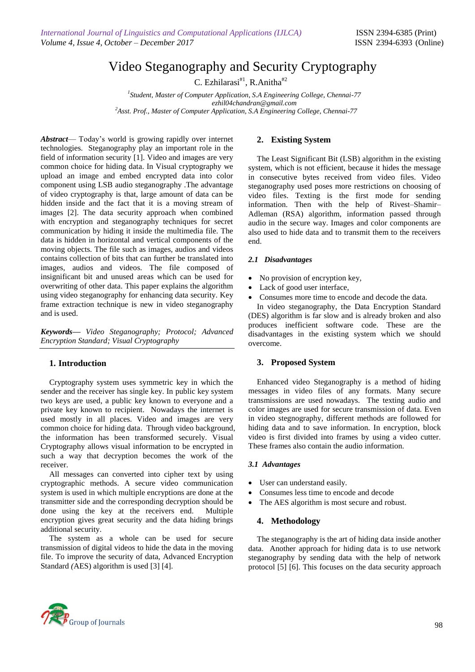# Video Steganography and Security Cryptography

C. Ezhilarasi $#^1$ , R.Anitha $#^2$ 

*1 Student, Master of Computer Application, S.A Engineering College, Chennai-77 ezhil04chandran@gmail.com <sup>2</sup>Asst. Prof., Master of Computer Application, S.A Engineering College, Chennai-77*

*Abstract*— Today's world is growing rapidly over internet technologies. Steganography play an important role in the field of information security [1]. Video and images are very common choice for hiding data. In Visual cryptography we upload an image and embed encrypted data into color component using LSB audio steganography .The advantage of video cryptography is that, large amount of data can be hidden inside and the fact that it is a moving stream of images [2]. The data security approach when combined with encryption and steganography techniques for secret communication by hiding it inside the multimedia file. The data is hidden in horizontal and vertical components of the moving objects. The file such as images, audios and videos contains collection of bits that can further be translated into images, audios and videos. The file composed of insignificant bit and unused areas which can be used for overwriting of other data. This paper explains the algorithm using video steganography for enhancing data security. Key frame extraction technique is new in video steganography and is used.

*Keywords***—** *Video Steganography; Protocol; Advanced Encryption Standard; Visual Cryptography*

# **1. Introduction**

Cryptography system uses symmetric key in which the sender and the receiver has single key. In public key system two keys are used, a public key known to everyone and a private key known to recipient. Nowadays the internet is used mostly in all places. Video and images are very common choice for hiding data. Through video background, the information has been transformed securely. Visual Cryptography allows visual information to be encrypted in such a way that decryption becomes the work of the receiver.

All messages can converted into cipher text by using cryptographic methods. A secure video communication system is used in which multiple encryptions are done at the transmitter side and the corresponding decryption should be done using the key at the receivers end. Multiple encryption gives great security and the data hiding brings additional security.

The system as a whole can be used for secure transmission of digital videos to hide the data in the moving file. To improve the security of data, Advanced Encryption Standard *(*AES) algorithm is used [3] [4].

# **2. Existing System**

The Least Significant Bit (LSB) algorithm in the existing system, which is not efficient, because it hides the message in consecutive bytes received from video files. Video steganography used poses more restrictions on choosing of video files. Texting is the first mode for sending information. Then with the help of Rivest–Shamir– Adleman (RSA) algorithm, information passed through audio in the secure way. Images and color components are also used to hide data and to transmit them to the receivers end.

## *2.1 Disadvantages*

- No provision of encryption key,
- Lack of good user interface,
- Consumes more time to encode and decode the data.

In video steganography, the Data Encryption Standard (DES) algorithm is far slow and is already broken and also produces inefficient software code. These are the disadvantages in the existing system which we should overcome.

## **3. Proposed System**

Enhanced video Steganography is a method of hiding messages in video files of any formats. Many secure transmissions are used nowadays. The texting audio and color images are used for secure transmission of data. Even in video stegnography, different methods are followed for hiding data and to save information. In encryption, block video is first divided into frames by using a video cutter. These frames also contain the audio information.

#### *3.1 Advantages*

- User can understand easily.
- Consumes less time to encode and decode
- The AES algorithm is most secure and robust.

## **4. Methodology**

The steganography is the art of hiding data inside another data. Another approach for hiding data is to use network steganography by sending data with the help of network protocol [5] [6]. This focuses on the data security approach

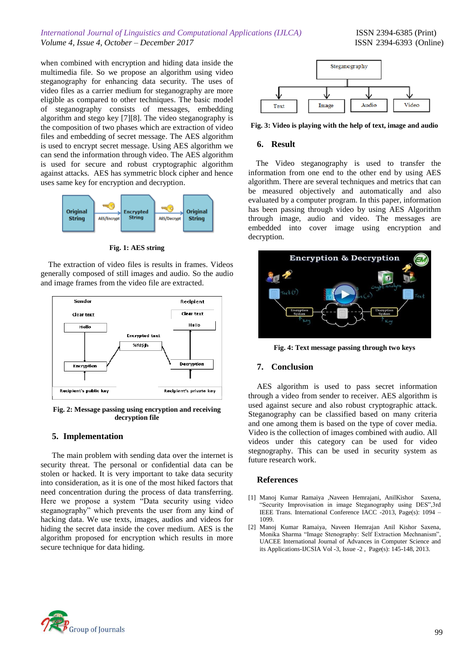*International Journal of Linguistics and Computational Applications (IJLCA)* ISSN 2394-6385 (Print) *Volume 4, Issue 4, October – December 2017* ISSN 2394-6393 (Online)

when combined with encryption and hiding data inside the multimedia file. So we propose an algorithm using video steganography for enhancing data security. The uses of video files as a carrier medium for steganography are more eligible as compared to other techniques. The basic model of steganography consists of messages, embedding algorithm and stego key [7][8]. The video steganography is the composition of two phases which are extraction of video files and embedding of secret message. The AES algorithm is used to encrypt secret message. Using AES algorithm we can send the information through video. The AES algorithm is used for secure and robust cryptographic algorithm against attacks. AES has symmetric block cipher and hence uses same key for encryption and decryption.



**Fig. 1: AES string** 

The extraction of video files is results in frames. Videos generally composed of still images and audio. So the audio and image frames from the video file are extracted.



**Fig. 2: Message passing using encryption and receiving decryption file**

## **5. Implementation**

The main problem with sending data over the internet is security threat. The personal or confidential data can be stolen or hacked. It is very important to take data security into consideration, as it is one of the most hiked factors that need concentration during the process of data transferring. Here we propose a system "Data security using video steganography" which prevents the user from any kind of hacking data. We use texts, images, audios and videos for hiding the secret data inside the cover medium. AES is the algorithm proposed for encryption which results in more secure technique for data hiding.



**Fig. 3: Video is playing with the help of text, image and audio**

#### **6. Result**

The Video steganography is used to transfer the information from one end to the other end by using AES algorithm. There are several techniques and metrics that can be measured objectively and automatically and also evaluated by a computer program. In this paper, information has been passing through video by using AES Algorithm through image, audio and video. The messages are embedded into cover image using encryption and decryption.



**Fig. 4: Text message passing through two keys**

## **7. Conclusion**

AES algorithm is used to pass secret information through a video from sender to receiver. AES algorithm is used against secure and also robust cryptographic attack. Steganography can be classified based on many criteria and one among them is based on the type of cover media. Video is the collection of images combined with audio. All videos under this category can be used for video stegnography. This can be used in security system as future research work.

#### **References**

- [1] Manoj Kumar Ramaiya ,Naveen Hemrajani, AnilKishor Saxena, "Security Improvisation in image Steganography using DES", 3rd IEEE Trans. International Conference IACC -2013, Page(s): 1094 – 1099.
- [2] Manoj Kumar Ramaiya, Naveen Hemrajan Anil Kishor Saxena, Monika Sharma "Image Stenography: Self Extraction Mechnanism", UACEE International Journal of Advances in Computer Science and its Applications-IJCSIA Vol -3, Issue -2 , Page(s): 145-148, 2013.